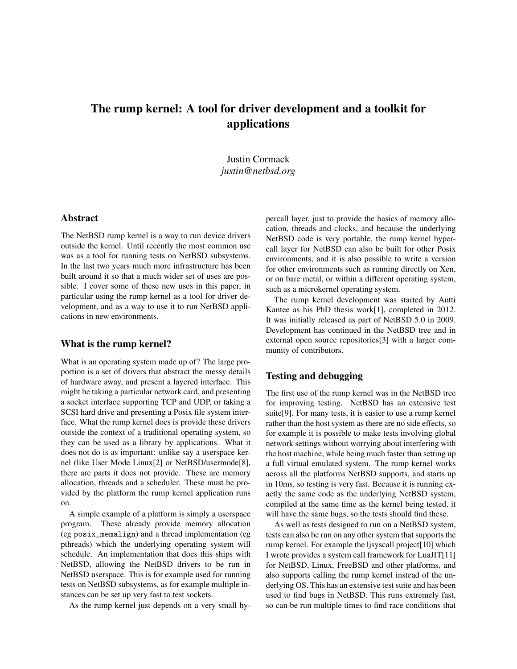# The rump kernel: A tool for driver development and a toolkit for applications

Justin Cormack *justin@netbsd.org*

## Abstract

The NetBSD rump kernel is a way to run device drivers outside the kernel. Until recently the most common use was as a tool for running tests on NetBSD subsystems. In the last two years much more infrastructure has been built around it so that a much wider set of uses are possible. I cover some of these new uses in this paper, in particular using the rump kernel as a tool for driver development, and as a way to use it to run NetBSD applications in new environments.

#### What is the rump kernel?

What is an operating system made up of? The large proportion is a set of drivers that abstract the messy details of hardware away, and present a layered interface. This might be taking a particular network card, and presenting a socket interface supporting TCP and UDP, or taking a SCSI hard drive and presenting a Posix file system interface. What the rump kernel does is provide these drivers outside the context of a traditional operating system, so they can be used as a library by applications. What it does not do is as important: unlike say a userspace kernel (like User Mode Linux[2] or NetBSD/usermode[8], there are parts it does not provide. These are memory allocation, threads and a scheduler. These must be provided by the platform the rump kernel application runs on.

A simple example of a platform is simply a userspace program. These already provide memory allocation (eg posix\_memalign) and a thread implementation (eg pthreads) which the underlying operating system will schedule. An implementation that does this ships with NetBSD, allowing the NetBSD drivers to be run in NetBSD userspace. This is for example used for running tests on NetBSD subsystems, as for example multiple instances can be set up very fast to test sockets.

As the rump kernel just depends on a very small hy-

percall layer, just to provide the basics of memory allocation, threads and clocks, and because the underlying NetBSD code is very portable, the rump kernel hypercall layer for NetBSD can also be built for other Posix environments, and it is also possible to write a version for other environments such as running directly on Xen, or on bare metal, or within a different operating system, such as a microkernel operating system.

The rump kernel development was started by Antti Kantee as his PhD thesis work[1], completed in 2012. It was initially released as part of NetBSD 5.0 in 2009. Development has continued in the NetBSD tree and in external open source repositories[3] with a larger community of contributors.

## Testing and debugging

The first use of the rump kernel was in the NetBSD tree for improving testing. NetBSD has an extensive test suite[9]. For many tests, it is easier to use a rump kernel rather than the host system as there are no side effects, so for example it is possible to make tests involving global network settings without worrying about interfering with the host machine, while being much faster than setting up a full virtual emulated system. The rump kernel works across all the platforms NetBSD supports, and starts up in 10ms, so testing is very fast. Because it is running exactly the same code as the underlying NetBSD system, compiled at the same time as the kernel being tested, it will have the same bugs, so the tests should find these.

As well as tests designed to run on a NetBSD system, tests can also be run on any other system that supports the rump kernel. For example the ljsyscall project[10] which I wrote provides a system call framework for LuaJIT[11] for NetBSD, Linux, FreeBSD and other platforms, and also supports calling the rump kernel instead of the underlying OS. This has an extensive test suite and has been used to find bugs in NetBSD. This runs extremely fast, so can be run multiple times to find race conditions that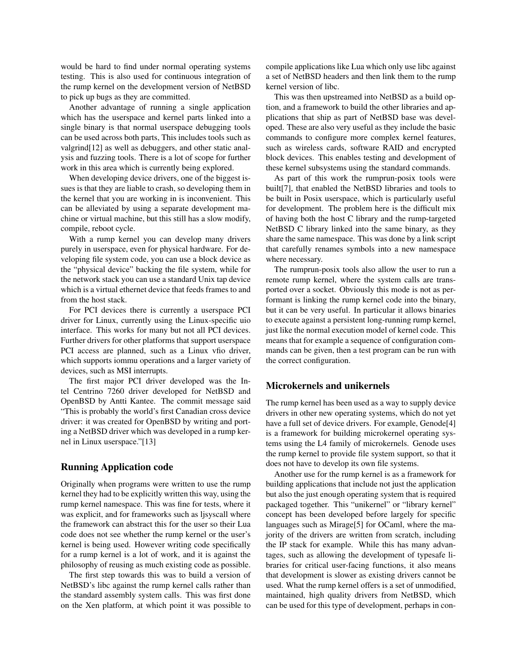would be hard to find under normal operating systems testing. This is also used for continuous integration of the rump kernel on the development version of NetBSD to pick up bugs as they are committed.

Another advantage of running a single application which has the userspace and kernel parts linked into a single binary is that normal userspace debugging tools can be used across both parts, This includes tools such as valgrind[12] as well as debuggers, and other static analysis and fuzzing tools. There is a lot of scope for further work in this area which is currently being explored.

When developing device drivers, one of the biggest issues is that they are liable to crash, so developing them in the kernel that you are working in is inconvenient. This can be alleviated by using a separate development machine or virtual machine, but this still has a slow modify, compile, reboot cycle.

With a rump kernel you can develop many drivers purely in userspace, even for physical hardware. For developing file system code, you can use a block device as the "physical device" backing the file system, while for the network stack you can use a standard Unix tap device which is a virtual ethernet device that feeds frames to and from the host stack.

For PCI devices there is currently a userspace PCI driver for Linux, currently using the Linux-specific uio interface. This works for many but not all PCI devices. Further drivers for other platforms that support userspace PCI access are planned, such as a Linux vfio driver, which supports iommu operations and a larger variety of devices, such as MSI interrupts.

The first major PCI driver developed was the Intel Centrino 7260 driver developed for NetBSD and OpenBSD by Antti Kantee. The commit message said "This is probably the world's first Canadian cross device driver: it was created for OpenBSD by writing and porting a NetBSD driver which was developed in a rump kernel in Linux userspace."[13]

### Running Application code

Originally when programs were written to use the rump kernel they had to be explicitly written this way, using the rump kernel namespace. This was fine for tests, where it was explicit, and for frameworks such as ljsyscall where the framework can abstract this for the user so their Lua code does not see whether the rump kernel or the user's kernel is being used. However writing code specifically for a rump kernel is a lot of work, and it is against the philosophy of reusing as much existing code as possible.

The first step towards this was to build a version of NetBSD's libc against the rump kernel calls rather than the standard assembly system calls. This was first done on the Xen platform, at which point it was possible to compile applications like Lua which only use libc against a set of NetBSD headers and then link them to the rump kernel version of libc.

This was then upstreamed into NetBSD as a build option, and a framework to build the other libraries and applications that ship as part of NetBSD base was developed. These are also very useful as they include the basic commands to configure more complex kernel features, such as wireless cards, software RAID and encrypted block devices. This enables testing and development of these kernel subsystems using the standard commands.

As part of this work the rumprun-posix tools were built[7], that enabled the NetBSD libraries and tools to be built in Posix userspace, which is particularly useful for development. The problem here is the difficult mix of having both the host C library and the rump-targeted NetBSD C library linked into the same binary, as they share the same namespace. This was done by a link script that carefully renames symbols into a new namespace where necessary.

The rumprun-posix tools also allow the user to run a remote rump kernel, where the system calls are transported over a socket. Obviously this mode is not as performant is linking the rump kernel code into the binary, but it can be very useful. In particular it allows binaries to execute against a persistent long-running rump kernel, just like the normal execution model of kernel code. This means that for example a sequence of configuration commands can be given, then a test program can be run with the correct configuration.

## Microkernels and unikernels

The rump kernel has been used as a way to supply device drivers in other new operating systems, which do not yet have a full set of device drivers. For example, Genode<sup>[4]</sup> is a framework for building microkernel operating systems using the L4 family of microkernels. Genode uses the rump kernel to provide file system support, so that it does not have to develop its own file systems.

Another use for the rump kernel is as a framework for building applications that include not just the application but also the just enough operating system that is required packaged together. This "unikernel" or "library kernel" concept has been developed before largely for specific languages such as Mirage[5] for OCaml, where the majority of the drivers are written from scratch, including the IP stack for example. While this has many advantages, such as allowing the development of typesafe libraries for critical user-facing functions, it also means that development is slower as existing drivers cannot be used. What the rump kernel offers is a set of unmodified, maintained, high quality drivers from NetBSD, which can be used for this type of development, perhaps in con